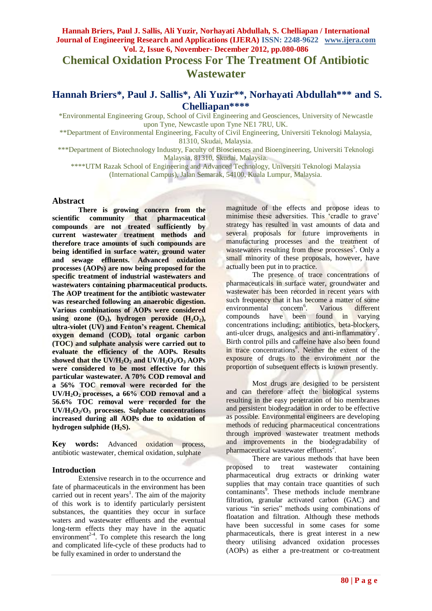**Chemical Oxidation Process For The Treatment Of Antibiotic Wastewater**

# **Hannah Briers\*, Paul J. Sallis\*, Ali Yuzir\*\*, Norhayati Abdullah\*\*\* and S. Chelliapan\*\*\*\***

\*Environmental Engineering Group, School of Civil Engineering and Geosciences, University of Newcastle upon Tyne, Newcastle upon Tyne NE1 7RU, UK.

\*\*Department of Environmental Engineering, Faculty of Civil Engineering, Universiti Teknologi Malaysia, 81310, Skudai, Malaysia.

\*\*\*Department of Biotechnology Industry, Faculty of Biosciences and Bioengineering, Universiti Teknologi Malaysia, 81310, Skudai, Malaysia.

\*\*\*\*UTM Razak School of Engineering and Advanced Technology, Universiti Teknologi Malaysia (International Campus), Jalan Semarak, 54100, Kuala Lumpur, Malaysia.

# **Abstract**

**There is growing concern from the scientific community that pharmaceutical compounds are not treated sufficiently by current wastewater treatment methods and therefore trace amounts of such compounds are being identified in surface water, ground water and sewage effluents. Advanced oxidation processes (AOPs) are now being proposed for the specific treatment of industrial wastewaters and wastewaters containing pharmaceutical products. The AOP treatment for the antibiotic wastewater was researched following an anaerobic digestion. Various combinations of AOPs were considered using ozone (O3), hydrogen peroxide (H2O2), ultra-violet (UV) and Fenton's reagent. Chemical oxygen demand (COD), total organic carbon (TOC) and sulphate analysis were carried out to evaluate the efficiency of the AOPs. Results**  showed that the UV/H<sub>2</sub>O<sub>2</sub> and UV/H<sub>2</sub>O<sub>2</sub>/O<sub>3</sub> AOPs **were considered to be most effective for this particular wastewater. A 70% COD removal and a 56% TOC removal were recorded for the**   $UV/H<sub>2</sub>O<sub>2</sub>$  processes, a  $66%$  COD removal and a **56.6% TOC removal were recorded for the UV/H2O2/O<sup>3</sup> processes. Sulphate concentrations increased during all AOPs due to oxidation of hydrogen sulphide (H2S).**

**Key words:** Advanced oxidation process, antibiotic wastewater, chemical oxidation, sulphate

# **Introduction**

Extensive research in to the occurrence and fate of pharmaceuticals in the environment has been carried out in recent years<sup>1</sup>. The aim of the majority of this work is to identify particularly persistent substances, the quantities they occur in surface waters and wastewater effluents and the eventual long-term effects they may have in the aquatic environment<sup>2-4</sup>. To complete this research the long and complicated life-cycle of these products had to be fully examined in order to understand the

magnitude of the effects and propose ideas to minimise these adversities. This 'cradle to grave' strategy has resulted in vast amounts of data and several proposals for future improvements in manufacturing processes and the treatment of wastewaters resulting from these processes<sup>5</sup>. Only a small minority of these proposals, however, have actually been put in to practice.

The presence of trace concentrations of pharmaceuticals in surface water, groundwater and wastewater has been recorded in recent years with such frequency that it has become a matter of some environmental concern<sup>6</sup>. . Various different compounds have been found in varying concentrations including; antibiotics, beta-blockers, anti-ulcer drugs, analgesics and anti-inflammatory<sup>7</sup>. Birth control pills and caffeine have also been found in trace concentrations<sup>8</sup>. Neither the extent of the exposure of drugs to the environment nor the proportion of subsequent effects is known presently.

Most drugs are designed to be persistent and can therefore affect the biological systems resulting in the easy penetration of bio membranes and persistent biodegradation in order to be effective as possible. Environmental engineers are developing methods of reducing pharmaceutical concentrations through improved wastewater treatment methods and improvements in the biodegradability of pharmaceutical wastewater effluents<sup>2</sup>.

There are various methods that have been proposed to treat wastewater containing pharmaceutical drug extracts or drinking water supplies that may contain trace quantities of such contaminants<sup>9</sup>. These methods include membrane filtration, granular activated carbon (GAC) and various "in series" methods using combinations of floatation and filtration. Although these methods have been successful in some cases for some pharmaceuticals, there is great interest in a new theory utilising advanced oxidation processes (AOPs) as either a pre-treatment or co-treatment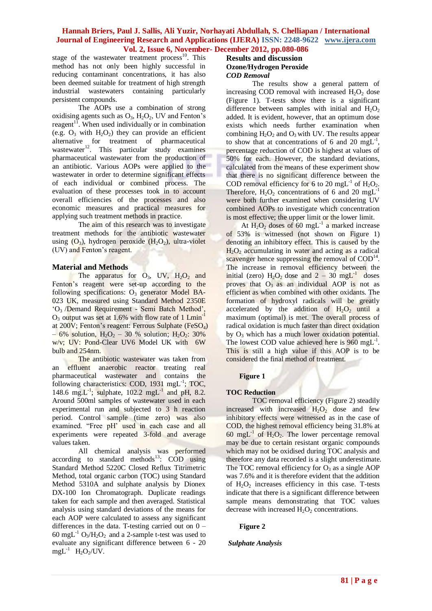stage of the wastewater treatment process $^{10}$ . This method has not only been highly successful in reducing contaminant concentrations, it has also been deemed suitable for treatment of high strength industrial wastewaters containing particularly persistent compounds.

The AOPs use a combination of strong oxidising agents such as  $O_3$ ,  $H_2O_2$ , UV and Fenton's reagent<sup>11</sup>. When used individually or in combination (e.g.  $O_3$  with  $H_2O_2$ ) they can provide an efficient alternative for treatment of pharmaceutical alternative for treatment of pharmaceuticum<br>wastewater<sup>12</sup>. This particular study examines pharmaceutical wastewater from the production of an antibiotic. Various AOPs were applied to the wastewater in order to determine significant effects of each individual or combined process. The evaluation of these processes took in to account overall efficiencies of the processes and also economic measures and practical measures for applying such treatment methods in practice.

The aim of this research was to investigate treatment methods for the antibiotic wastewater using  $(O_3)$ , hydrogen peroxide  $(H_2O_2)$ , ultra-violet (UV) and Fenton"s reagent.

# **Material and Methods**

The apparatus for  $O_3$ , UV,  $H_2O_2$  and Fenton"s reagent were set-up according to the following specifications: O<sub>3</sub> generator Model BA-023 UK, measured using Standard Method 2350E "O3 /Demand Requirement - Semi Batch Method",  $O_3$  output was set at 1.6% with flow rate of 1 Lmin<sup>-1</sup> at  $200V$ ; Fenton's reagent: Ferrous Sulphate (FeSO<sub>4</sub>) – 6% solution,  $H_2O_2$  – 30 % solution;  $H_2O_2$ : 30% w/v; UV: Pond-Clear UV6 Model UK with 6W bulb and 254nm.

The antibiotic wastewater was taken from an effluent anaerobic reactor treating real pharmaceutical wastewater and contains the following characteristics: COD, 1931 mgL<sup>-1</sup>; TOC, 148.6 mg.L<sup>-1</sup>; sulphate, 102.2 mgL<sup>-1</sup> and pH, 8.2. Around 500ml samples of wastewater used in each experimental run and subjected to 3 h reaction period. Control sample (time zero) was also examined. "Free pH' used in each case and all experiments were repeated 3-fold and average values taken.

All chemical analysis was performed according to standard methods<sup>13</sup>: COD using Standard Method 5220C Closed Reflux Titrimetric Method, total organic carbon (TOC) using Standard Method 5310A and sulphate analysis by Dionex DX-100 Ion Chromatograph. Duplicate readings taken for each sample and then averaged. Statistical analysis using standard deviations of the means for each AOP were calculated to assess any significant differences in the data. T-testing carried out on  $0 60 \text{ mgL}^{-1} \text{ O}_3/\text{H}_2\text{O}_2$  and a 2-sample t-test was used to evaluate any significant difference between 6 - 20  $mgL^{-1}$  H<sub>2</sub>O<sub>2</sub>/UV.

# **Results and discussion Ozone/Hydrogen Peroxide** *COD Removal*

The results show a general pattern of increasing COD removal with increased  $H_2O_2$  dose (Figure 1). T-tests show there is a significant difference between samples with initial and  $H_2O_2$ added. It is evident, however, that an optimum dose exists which needs further examination when combining  $H_2O_2$  and  $O_3$  with UV. The results appear to show that at concentrations of 6 and 20  $mgL^{-1}$ , percentage reduction of COD is highest at values of 50% for each. However, the standard deviations, calculated from the means of these experiment show that there is no significant difference between the COD removal efficiency for 6 to 20 mgL<sup>-1</sup> of  $H_2O_2$ . Therefore,  $H_2O_2$  concentrations of 6 and 20 mgL<sup>-1</sup> were both further examined when considering UV combined AOPs to investigate which concentration is most effective; the upper limit or the lower limit.

At  $H_2O_2$  doses of 60 mgL<sup>-1</sup> a marked increase of 53% is witnessed (not shown on Figure 1) denoting an inhibitory effect. This is caused by the  $H_2O_2$  accumulating in water and acting as a radical scavenger hence suppressing the removal of COD<sup>14</sup>. The increase in removal efficiency between the initial (zero)  $H_2O_2$  dose and  $2 - 30$  mgL<sup>-1</sup> doses proves that  $O_3$  as an individual AOP is not as efficient as when combined with other oxidants. The formation of hydroxyl radicals will be greatly accelerated by the addition of  $H_2O_2$  until a maximum (optimal) is met. The overall process of radical oxidation is much faster than direct oxidation by  $O_3$  which has a much lower oxidation potential. The lowest COD value achieved here is  $960 \text{ mgL}^{-1}$ . This is still a high value if this AOP is to be considered the final method of treatment.

# **Figure 1**

# **TOC Reduction**

TOC removal efficiency (Figure 2) steadily increased with increased  $H_2O_2$  dose and few inhibitory effects were witnessed as in the case of COD, the highest removal efficiency being 31.8% at  $60 \text{ mgL}^{-1}$  of  $H_2O_2$ . The lower percentage removal may be due to certain resistant organic compounds which may not be oxidised during TOC analysis and therefore any data recorded is a slight underestimate. The TOC removal efficiency for  $O_3$  as a single AOP was 7.6% and it is therefore evident that the addition of  $H_2O_2$  increases efficiency in this case. T-tests indicate that there is a significant difference between sample means demonstrating that TOC values decrease with increased  $H_2O_2$  concentrations.

**Figure 2**

# *Sulphate Analysis*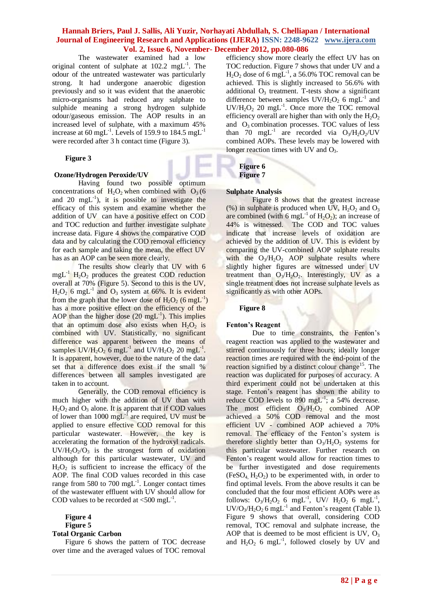The wastewater examined had a low original content of sulphate at  $102.2 \text{ mgL}^{-1}$ . The odour of the untreated wastewater was particularly strong. It had undergone anaerobic digestion previously and so it was evident that the anaerobic micro-organisms had reduced any sulphate to sulphide meaning a strong hydrogen sulphide odour/gaseous emission. The AOP results in an increased level of sulphate, with a maximum 45% increase at 60 mgL<sup>-1</sup>. Levels of 159.9 to 184.5 mgL<sup>-1</sup> were recorded after 3 h contact time (Figure 3).

### **Figure 3**

### **Ozone/Hydrogen Peroxide/UV**

Having found two possible optimum concentrations of  $H_2O_2$  when combined with  $O_3$  (6 and 20 mgL $^{-1}$ ), it is possible to investigate the efficacy of this system and examine whether the addition of UV can have a positive effect on COD and TOC reduction and further investigate sulphate increase data. Figure 4 shows the comparative COD data and by calculating the COD removal efficiency for each sample and taking the mean, the effect UV has as an AOP can be seen more clearly.

The results show clearly that UV with 6  $meL^{-1}$  H<sub>2</sub>O<sub>2</sub> produces the greatest COD reduction overall at 70% (Figure 5). Second to this is the UV,  $H_2O_2$  6 mgL<sup>-1</sup> and  $O_3$  system at 66%. It is evident from the graph that the lower dose of  $H_2O_2$  (6 mgL<sup>-1</sup>) has a more positive effect on the efficiency of the AOP than the higher dose  $(20 \text{ mgL}^{-1})$ . This implies that an optimum dose also exists when  $H_2O_2$  is combined with UV. Statistically, no significant difference was apparent between the means of samples  $UV/H_2O_2$  6 mgL<sup>-1</sup> and  $UV/H_2O_2$  20 mgL<sup>-1</sup>. It is apparent, however, due to the nature of the data set that a difference does exist if the small % differences between all samples investigated are taken in to account.

Generally, the COD removal efficiency is much higher with the addition of UV than with  $H<sub>2</sub>O<sub>2</sub>$  and  $O<sub>3</sub>$  alone. It is apparent that if COD values of lower than  $1000 \text{ mgL}^{-1}$  are required, UV must be applied to ensure effective COD removal for this particular wastewater. However, the key is accelerating the formation of the hydroxyl radicals.  $UV/H<sub>2</sub>O<sub>2</sub>/O<sub>3</sub>$  is the strongest form of oxidation although for this particular wastewater, UV and  $H_2O_2$  is sufficient to increase the efficacy of the AOP. The final COD values recorded in this case range from 580 to 700  $mgL^{-1}$ . Longer contact times of the wastewater effluent with UV should allow for COD values to be recorded at  $< 500$  mgL<sup>-1</sup>.

**Figure 4 Figure 5**

# **Total Organic Carbon**

Figure 6 shows the pattern of TOC decrease over time and the averaged values of TOC removal efficiency show more clearly the effect UV has on TOC reduction. Figure 7 shows that under UV and a  $H_2O_2$  dose of 6 mgL<sup>-1</sup>, a 56.0% TOC removal can be achieved. This is slightly increased to 56.6% with additional  $O_3$  treatment. T-tests show a significant difference between samples  $UV/H_2O_2$  6 mgL<sup>-1</sup> and  $UV/H<sub>2</sub>O<sub>2</sub>$  20 mgL<sup>-1</sup>. Once more the TOC removal efficiency overall are higher than with only the  $H_2O_2$ and  $O_3$  combination processes. TOC values of less than 70 mgL<sup>-1</sup> are recorded via  $O_3/H_2O_2/UV$ combined AOPs. These levels may be lowered with longer reaction times with UV and  $O_3$ .

**Figure 6 Figure 7**

# **Sulphate Analysis**

Figure 8 shows that the greatest increase (%) in sulphate is produced when UV,  $H_2O_2$  and  $O_3$ are combined (with 6 mgL<sup>-1</sup> of  $H_2O_2$ ); an increase of 44% is witnessed. The COD and TOC values indicate that increase levels of oxidation are achieved by the addition of UV. This is evident by comparing the UV-combined AOP sulphate results with the  $O_3/H_2O_2$  AOP sulphate results where slightly higher figures are witnessed under UV treatment than  $O_2/H_2O_2$ . Interestingly, UV as a single treatment does not increase sulphate levels as significantly as with other AOPs.

**Figure 8**

# **Fenton's Reagent**

Due to time constraints, the Fenton's reagent reaction was applied to the wastewater and stirred continuously for three hours; ideally longer reaction times are required with the end-point of the reaction signified by a distinct colour change<sup>15</sup>. The reaction was duplicated for purposes of accuracy. A third experiment could not be undertaken at this stage. Fenton"s reagent has shown the ability to reduce COD levels to  $890 \text{ mgL}^{-1}$ ; a 54% decrease. The most efficient  $O_3/H_2O_2$  combined AOP achieved a 50% COD removal and the most efficient UV - combined AOP achieved a 70% removal. The efficacy of the Fenton"s system is therefore slightly better than  $O_3/H_2O_2$  systems for this particular wastewater. Further research on Fenton"s reagent would allow for reaction times to be further investigated and dose requirements  $(FeSO<sub>4</sub>, H<sub>2</sub>O<sub>2</sub>)$  to be experimented with, in order to find optimal levels. From the above results it can be concluded that the four most efficient AOPs were as follows:  $O_3/H_2O_2$  6 mgL<sup>-1</sup>, UV/  $H_2O_2$  6 mgL<sup>-1</sup>,  $UV/O_3/H_2O_2$  6 mgL<sup>-1</sup> and Fenton's reagent (Table 1). Figure 9 shows that overall, considering COD removal, TOC removal and sulphate increase, the AOP that is deemed to be most efficient is UV,  $O_3$ and  $H_2O_2$  6 mgL<sup>-1</sup>, followed closely by UV and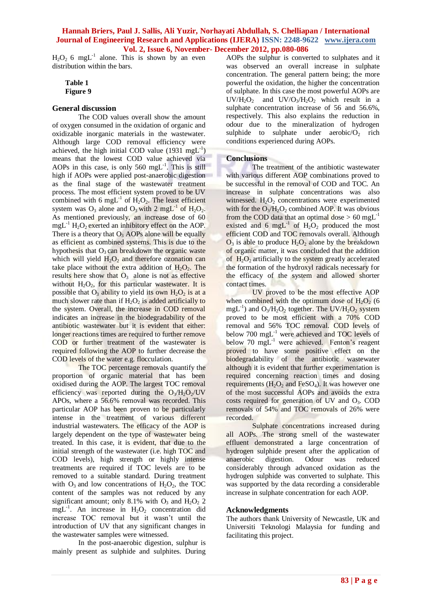$H_2O_2$  6 mgL<sup>-1</sup> alone. This is shown by an even distribution within the bars.

**Table 1 Figure 9**

# **General discussion**

The COD values overall show the amount of oxygen consumed in the oxidation of organic and oxidizable inorganic materials in the wastewater. Although large COD removal efficiency were achieved, the high initial COD value  $(1931 \text{ mgL}^{-1})$ means that the lowest COD value achieved via AOPs in this case, is only 560  $mgL^{-1}$ . This is still high if AOPs were applied post-anaerobic digestion as the final stage of the wastewater treatment process. The most efficient system proved to be UV combined with 6 mgL<sup>-1</sup> of  $H_2O_2$ . The least efficient system was  $O_3$  alone and  $O_3$  with 2 mgL<sup>-1</sup> of  $H_2O_2$ . As mentioned previously, an increase dose of 60  $mgL^{-1}$  H<sub>2</sub>O<sub>2</sub> exerted an inhibitory effect on the AOP. There is a theory that  $O_3$  AOPs alone will be equally as efficient as combined systems. This is due to the hypothesis that  $O_3$  can breakdown the organic waste which will yield  $H_2O_2$  and therefore ozonation can take place without the extra addition of  $H_2O_2$ . The results here show that  $O_3$  alone is not as effective without  $H_2O_2$ , for this particular wastewater. It is possible that  $O_3$  ability to yield its own  $H_2O_2$  is at a much slower rate than if  $H_2O_2$  is added artificially to the system. Overall, the increase in COD removal indicates an increase in the biodegradability of the antibiotic wastewater but it is evident that either: longer reactions times are required to further remove COD or further treatment of the wastewater is required following the AOP to further decrease the COD levels of the water e.g. flocculation.

The TOC percentage removals quantify the proportion of organic material that has been oxidised during the AOP. The largest TOC removal efficiency was reported during the  $O_3/H_2O_2/UV$ APOs, where a 56.6% removal was recorded. This particular AOP has been proven to be particularly intense in the treatment of various different industrial wastewaters. The efficacy of the AOP is largely dependent on the type of wastewater being treated. In this case, it is evident, that due to the initial strength of the wastewater (i.e. high TOC and COD levels), high strength or highly intense treatments are required if TOC levels are to be removed to a suitable standard. During treatment with  $O_3$  and low concentrations of  $H_2O_2$ , the TOC content of the samples was not reduced by any significant amount; only 8.1% with  $O_3$  and  $H_2O_2$  2  $mgL^{-1}$ . An increase in  $H_2O_2$  concentration did increase TOC removal but it wasn"t until the introduction of UV that any significant changes in the wastewater samples were witnessed.

In the post-anaerobic digestion, sulphur is mainly present as sulphide and sulphites. During AOPs the sulphur is converted to sulphates and it was observed an overall increase in sulphate concentration. The general pattern being; the more powerful the oxidation, the higher the concentration of sulphate. In this case the most powerful AOPs are  $UV/H_2O_2$  and  $UV/O_3/H_2O_2$  which result in a sulphate concentration increase of 56 and 56.6%, respectively. This also explains the reduction in odour due to the mineralization of hydrogen sulphide to sulphate under aerobic/ $O_2$  rich conditions experienced during AOPs.

### **Conclusions**

The treatment of the antibiotic wastewater with various different AOP combinations proved to be successful in the removal of COD and TOC. An increase in sulphate concentrations was also witnessed.  $H_2O_2$  concentrations were experimented with for the  $O_3/H_2O_2$  combined AOP. It was obvious from the COD data that an optimal dose  $> 60$  mgL<sup>-1</sup> existed and 6 mgL $^{-1}$  of H<sub>2</sub>O<sub>2</sub> produced the most efficient COD and TOC removals overall. Although  $O_3$  is able to produce  $H_2O_2$  alone by the breakdown of organic matter, it was concluded that the addition of  $H_2O_2$  artificially to the system greatly accelerated the formation of the hydroxyl radicals necessary for the efficacy of the system and allowed shorter contact times.

UV proved to be the most effective AOP when combined with the optimum dose of  $H_2O_2$  (6)  $mgL^{-1}$ ) and  $O_3/H_2O_2$  together. The UV/H<sub>2</sub>O<sub>2</sub> system proved to be most efficient with a 70% COD removal and 56% TOC removal. COD levels of below 700 mgL<sup>-1</sup> were achieved and TOC levels of below 70  $mgL<sup>-1</sup>$  were achieved. Fenton's reagent proved to have some positive effect on the biodegradability of the antibiotic wastewater although it is evident that further experimentation is required concerning reaction times and dosing requirements  $(H_2O_2$  and  $FeSO_4$ ). It was however one of the most successful AOPs and avoids the extra costs required for generation of UV and  $O<sub>3</sub>$ . COD removals of 54% and TOC removals of 26% were recorded.

Sulphate concentrations increased during all AOPs. The strong smell of the wastewater effluent demonstrated a large concentration of hydrogen sulphide present after the application of anaerobic digestion. Odour was reduced considerably through advanced oxidation as the hydrogen sulphide was converted to sulphate. This was supported by the data recording a considerable increase in sulphate concentration for each AOP.

# **Acknowledgments**

The authors thank University of Newcastle, UK and Universiti Teknologi Malaysia for funding and facilitating this project.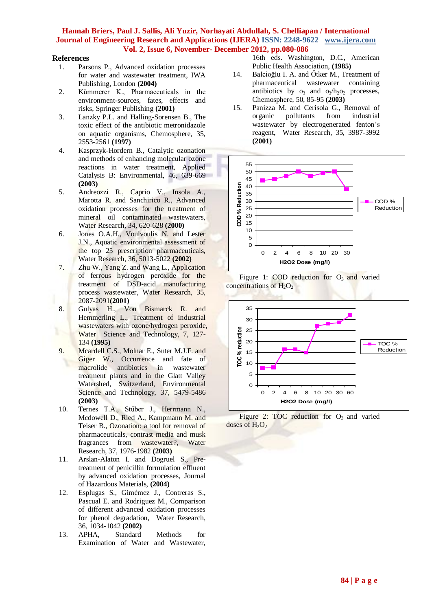# **References**

- 1. Parsons P., Advanced oxidation processes for water and wastewater treatment, IWA Publishing, London **(2004)**
- 2. Kűmmerer K., Pharmaceuticals in the environment-sources, fates, effects and risks, Springer Publishing **(2001)**
- 3. Lanzky P.L. and Halling-Sorensen B., The toxic effect of the antibiotic metronidazole on aquatic organisms, Chemosphere, 35, 2553-2561 **(1997)**
- 4. Kasprzyk-Hordern B., Catalytic ozonation and methods of enhancing molecular ozone reactions in water treatment, Applied Catalysis B: Environmental, 46, 639-669 **(2003)**
- 5. Andreozzi R., Caprio V., Insola A., Marotta R. and Sanchirico R., Advanced oxidation processes for the treatment of mineral oil contaminated wastewaters, Water Research, 34, 620-628 **(2000)**
- 6. Jones O.A.H., Voulvoulis N. and Lester J.N., Aquatic environmental assessment of the top 25 prescription pharmaceuticals, Water Research, 36, 5013-5022 **(2002)**
- 7. Zhu W., Yang Z. and Wang L., Application of ferrous hydrogen peroxide for the treatment of DSD-acid manufacturing process wastewater, Water Research, 35, 2087-2091**(2001)**
- 8. Gulyas H., Von Bismarck R. and Hemmerling L., Treatment of industrial wastewaters with ozone/hydrogen peroxide, Water Science and Technology, 7, 127- 134 **(1995)**
- 9. Mcardell C.S., Molnar E., Suter M.J.F. and Giger W., Occurrence and fate of macrolide antibiotics in wastewater treatment plants and in the Glatt Valley Watershed, Switzerland, Environmental Science and Technology, 37, 5479-5486 **(2003)**
- 10. Ternes T.A., Stűber J., Herrmann N., Mcdowell D., Ried A., Kampmann M. and Teiser B., Ozonation: a tool for removal of pharmaceuticals, contrast media and musk fragrances from wastewater?, Water Research, 37, 1976-1982 **(2003)**
- 11. Arslan-Alaton I. and Dogruel S., Pretreatment of penicillin formulation effluent by advanced oxidation processes, Journal of Hazardous Materials, **(2004)**
- 12. Esplugas S., Gimémez J., Contreras S., Pascual E. and Rodriguez M., Comparison of different advanced oxidation processes for phenol degradation, Water Research, 36, 1034-1042 **(2002)**
- 13. APHA, Standard Methods for Examination of Water and Wastewater,

16th eds. Washington, D.C., American Public Health Association, **(1985)**

- 14. Balcioğlu I. A. and Őtker M., Treatment of pharmaceutical wastewater containing antibiotics by  $o_3$  and  $o_3/h_2o_2$  processes, Chemosphere, 50, 85-95 **(2003)**
- 15. Panizza M. and Cerisola G., Removal of organic pollutants from industrial wastewater by electrogenerated fenton's reagent, Water Research, 35, 3987-3992 **(2001)**



Figure 1: COD reduction for  $O_3$  and varied concentrations of  $H_2O_2$ 



Figure 2: TOC reduction for  $O_3$  and varied doses of  $H_2O_2$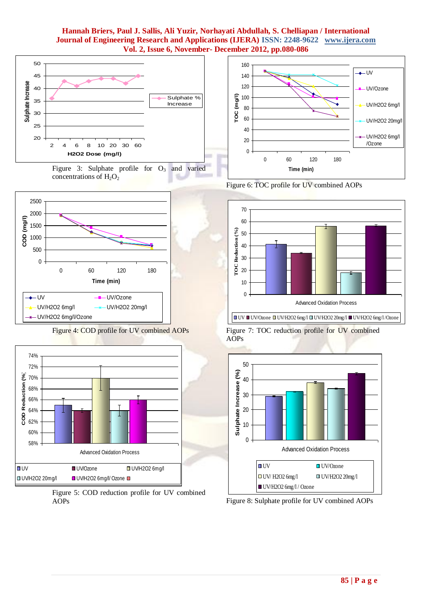

concentrations of  $H_2O_2$ 



Figure 4: COD profile for UV combined AOPs



Figure 5: COD reduction profile for UV combined AOPs

Figure 6: TOC profile for UV combined AOPs



 $+$ UV

UV/Ozone

UV/H2O2 6mg/l

UV/H2O2 20mg/l

UV/H2O2 6mg/l /Ozone





Figure 8: Sulphate profile for UV combined AOPs